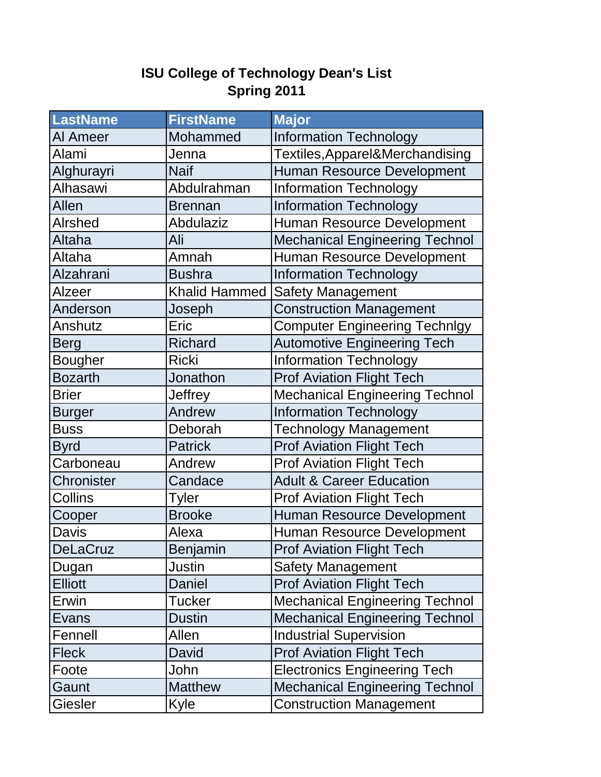## **ISU College of Technology Dean's List Spring 2011**

| <b>LastName</b> | <b>FirstName</b> | <b>Major</b>                          |
|-----------------|------------------|---------------------------------------|
| Al Ameer        | Mohammed         | <b>Information Technology</b>         |
| Alami           | Jenna            | Textiles, Apparel&Merchandising       |
| Alghurayri      | <b>Naif</b>      | Human Resource Development            |
| Alhasawi        | Abdulrahman      | <b>Information Technology</b>         |
| Allen           | <b>Brennan</b>   | <b>Information Technology</b>         |
| Alrshed         | Abdulaziz        | Human Resource Development            |
| Altaha          | Ali              | <b>Mechanical Engineering Technol</b> |
| Altaha          | Amnah            | Human Resource Development            |
| Alzahrani       | <b>Bushra</b>    | <b>Information Technology</b>         |
| Alzeer          | Khalid Hammed    | <b>Safety Management</b>              |
| Anderson        | Joseph           | <b>Construction Management</b>        |
| Anshutz         | Eric             | <b>Computer Engineering Technlgy</b>  |
| <b>Berg</b>     | <b>Richard</b>   | <b>Automotive Engineering Tech</b>    |
| <b>Bougher</b>  | <b>Ricki</b>     | <b>Information Technology</b>         |
| <b>Bozarth</b>  | Jonathon         | <b>Prof Aviation Flight Tech</b>      |
| <b>Brier</b>    | <b>Jeffrey</b>   | <b>Mechanical Engineering Technol</b> |
| <b>Burger</b>   | Andrew           | <b>Information Technology</b>         |
| <b>Buss</b>     | Deborah          | <b>Technology Management</b>          |
| <b>Byrd</b>     | <b>Patrick</b>   | <b>Prof Aviation Flight Tech</b>      |
| Carboneau       | Andrew           | <b>Prof Aviation Flight Tech</b>      |
| Chronister      | Candace          | <b>Adult &amp; Career Education</b>   |
| Collins         | Tyler            | <b>Prof Aviation Flight Tech</b>      |
| Cooper          | <b>Brooke</b>    | Human Resource Development            |
| Davis           | Alexa            | Human Resource Development            |
| <b>DeLaCruz</b> | Benjamin         | <b>Prof Aviation Flight Tech</b>      |
| Dugan           | Justin           | <b>Safety Management</b>              |
| <b>Elliott</b>  | Daniel           | <b>Prof Aviation Flight Tech</b>      |
| Erwin           | Tucker           | <b>Mechanical Engineering Technol</b> |
| Evans           | <b>Dustin</b>    | <b>Mechanical Engineering Technol</b> |
| Fennell         | Allen            | <b>Industrial Supervision</b>         |
| <b>Fleck</b>    | David            | <b>Prof Aviation Flight Tech</b>      |
| Foote           | John             | <b>Electronics Engineering Tech</b>   |
| Gaunt           | <b>Matthew</b>   | <b>Mechanical Engineering Technol</b> |
| <b>Giesler</b>  | Kyle             | <b>Construction Management</b>        |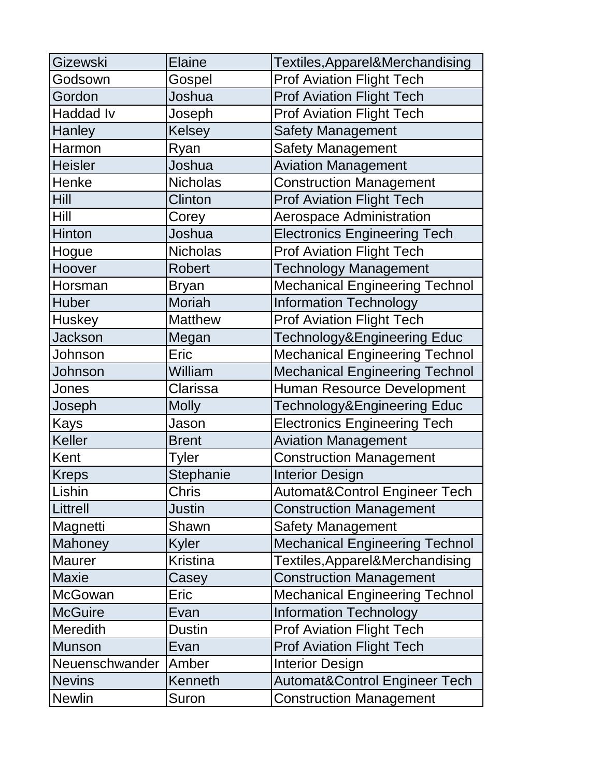| Gizewski         | <b>Elaine</b>   | Textiles, Apparel&Merchandising          |  |
|------------------|-----------------|------------------------------------------|--|
| Godsown          | Gospel          | <b>Prof Aviation Flight Tech</b>         |  |
| Gordon           | Joshua          | <b>Prof Aviation Flight Tech</b>         |  |
| <b>Haddad Iv</b> | Joseph          | <b>Prof Aviation Flight Tech</b>         |  |
| Hanley           | <b>Kelsey</b>   | <b>Safety Management</b>                 |  |
| Harmon           | Ryan            | <b>Safety Management</b>                 |  |
| <b>Heisler</b>   | Joshua          | <b>Aviation Management</b>               |  |
| Henke            | <b>Nicholas</b> | <b>Construction Management</b>           |  |
| <b>Hill</b>      | <b>Clinton</b>  | <b>Prof Aviation Flight Tech</b>         |  |
| Hill             | Corey           | <b>Aerospace Administration</b>          |  |
| Hinton           | Joshua          | <b>Electronics Engineering Tech</b>      |  |
| Hogue            | <b>Nicholas</b> | <b>Prof Aviation Flight Tech</b>         |  |
| Hoover           | <b>Robert</b>   | <b>Technology Management</b>             |  |
| Horsman          | <b>Bryan</b>    | <b>Mechanical Engineering Technol</b>    |  |
| Huber            | <b>Moriah</b>   | <b>Information Technology</b>            |  |
| <b>Huskey</b>    | <b>Matthew</b>  | <b>Prof Aviation Flight Tech</b>         |  |
| <b>Jackson</b>   | Megan           | Technology&Engineering Educ              |  |
| Johnson          | Eric            | <b>Mechanical Engineering Technol</b>    |  |
| Johnson          | William         | <b>Mechanical Engineering Technol</b>    |  |
| Jones            | Clarissa        | <b>Human Resource Development</b>        |  |
| Joseph           | <b>Molly</b>    | Technology&Engineering Educ              |  |
| Kays             | Jason           | <b>Electronics Engineering Tech</b>      |  |
| Keller           | <b>Brent</b>    | <b>Aviation Management</b>               |  |
| Kent             | Tyler           | <b>Construction Management</b>           |  |
| <b>Kreps</b>     | Stephanie       | <b>Interior Design</b>                   |  |
| Lishin           | <b>Chris</b>    | <b>Automat&amp;Control Engineer Tech</b> |  |
| Littrell         | Justin          | <b>Construction Management</b>           |  |
| Magnetti         | Shawn           | <b>Safety Management</b>                 |  |
| Mahoney          | Kyler           | <b>Mechanical Engineering Technol</b>    |  |
| <b>Maurer</b>    | <b>Kristina</b> | Textiles, Apparel&Merchandising          |  |
| <b>Maxie</b>     | Casey           | <b>Construction Management</b>           |  |
| <b>McGowan</b>   | Eric            | <b>Mechanical Engineering Technol</b>    |  |
| <b>McGuire</b>   | Evan            | <b>Information Technology</b>            |  |
| <b>Meredith</b>  | <b>Dustin</b>   | <b>Prof Aviation Flight Tech</b>         |  |
| <b>Munson</b>    | Evan            | <b>Prof Aviation Flight Tech</b>         |  |
| Neuenschwander   | Amber           | <b>Interior Design</b>                   |  |
| <b>Nevins</b>    | Kenneth         | <b>Automat&amp;Control Engineer Tech</b> |  |
| <b>Newlin</b>    | Suron           | <b>Construction Management</b>           |  |